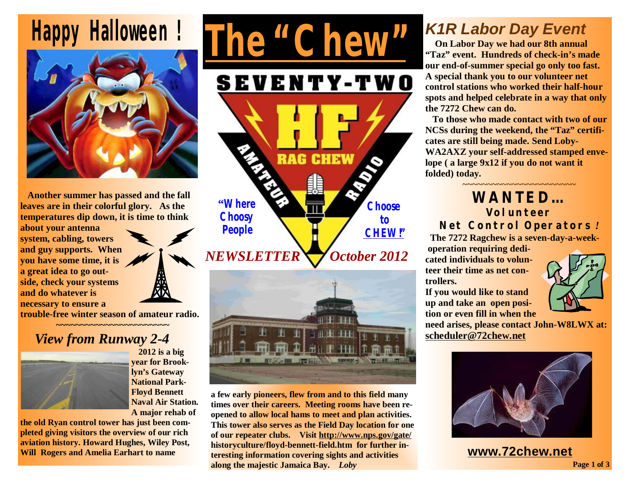



**Another summer has passed and the fall leaves are in their colorful glory. As the temperatures dip down, it is time to think** 

**about your antenna system, cabling, towers and guy supports. When you have some time, it is a great idea to go outside, check your systems and do whatever is necessary to ensure a** 



**trouble-free winter season of amateur radio. ~~~~~~~~~~~~~~~~~~~~~~~** 

## *View from Runway 2-4*



 **<sup>2012</sup> is <sup>a</sup> big year for Brooklyn's Gateway National Park-Floyd Bennett Naval Air Station. A major rehab of** 

**the old Ryan control tower has just been completed giving visitors the overview of our rich aviation history. Howard Hughes, Wiley Post, Will Rogers and Amelia Earhart to name** 





**a few early pioneers, flew from and to this field many times over their careers. Meeting rooms have been reopened to allow local hams to meet and plan activities. This tower also serves as the Field Day location for one of our repeater clubs. Visit<http://www.nps.gov/gate/> historyculture/floyd-bennett-field.htm for further interesting information covering sights and activities along the majestic Jamaica Bay.** *Loby*

## *K1R Labor Day Event*

 **On Labor Day we had our 8th annual "Taz" event. Hundreds of check-in's made our end-of-summer special go only too fast. A special thank you to our volunteer net control stations who worked their half-hour spots and helped celebrate in a way that only the 7272 Chew can do.** 

**To those who made contact with two of our NCSs during the weekend, the "Taz" certificates are still being made. Send Loby-WA2AXZ your self-addressed stamped envelope ( a large 9x12 if you do not want it folded) today.** 

#### **~~~~~~~~~~~~~~~~~~~~~~~ WANTED… Volunteer Net Control Operators** *!*

 **The 7272 Ragchew is a seven-day-a-week-**

**operation requiring dedicated individuals to volunteer their time as net controllers.** 

**If you would like to stand up and take an open position or even fill in when the** 



**need arises, please contact John-W8LWX at: [scheduler@72chew.net](mailto:scheduler@72chew.net)**



**Page 1 of 3 [www.72chew.net](http://www.72chew.net)**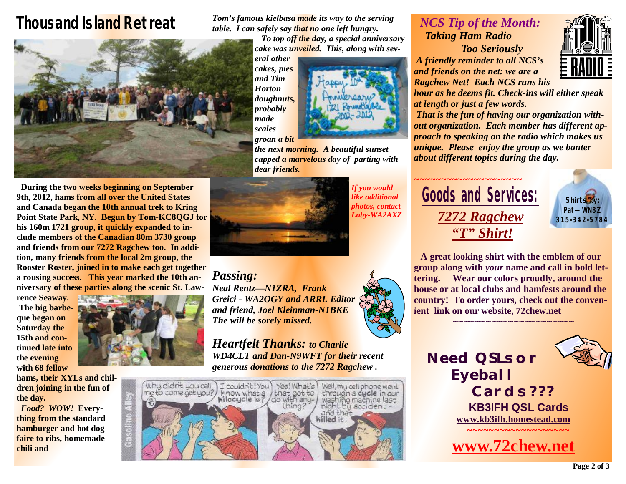# *Thousand Island Retreat*



 **During the two weeks beginning on September 9th, 2012, hams from all over the United States and Canada began the 10th annual trek to Kring Point State Park, NY. Begun by Tom-KC8QGJ for his 160m 1721 group, it quickly expanded to include members of the Canadian 80m 3730 group and friends from our 7272 Ragchew too. In addition, many friends from the local 2m group, the Rooster Roster, joined in to make each get together a rousing success. This year marked the 10th anniversary of these parties along the scenic St. Law-**

**rence Seaway. The big barbeque began on Saturday the 15th and continued late into the evening with 68 fellow** 

**hams, their XYLs and children joining in the fun of the day.** 

*Food? WOW!* **Everything from the standard hamburger and hot dog faire to ribs, homemade chili and** 



*Tom's famous kielbasa made its way to the serving table. I can safely say that no one left hungry.* 

*To top off the day, a special anniversary cake was unveiled. This, along with sev-*

*eral other cakes, pies and Tim Horton doughnuts, probably made scales groan a bit* 



*the next morning. A beautiful sunset capped a marvelous day of parting with dear friends.* 



*If you would like additional photos, contact Loby-WA2AXZ* 

*Passing: Neal Rentz—N1ZRA, Frank Greici - WA2OGY and ARRL Editor and friend, Joel Kleinman-N1BKE The will be sorely missed.* 

*Heartfelt Thanks: to Charlie WD4CLT and Dan-N9WFT for their recent generous donations to the 7272 Ragchew .* 



### *NCS Tip of the Month: Taking Ham Radio Too Seriously*

*A friendly reminder to all NCS's and friends on the net: we are a Ragchew Net! Each NCS runs his* 



*hour as he deems fit. Check-ins will either speak at length or just a few words.* 

 *That is the fun of having our organization without organization. Each member has different approach to speaking on the radio which makes us unique. Please enjoy the group as we banter about different topics during the day.* 

## *~~~~~~~~~~~~~~~~~~~~*  **Goods and Services:** *7272 Ragchew "T" Shirt!*



 **A great looking shirt with the emblem of our group along with** *your* **name and call in bold lettering. Wear our colors proudly, around the house or at local clubs and hamfests around the country! To order yours, check out the convenient link on our website, 72chew.net**  <mark>~~~~~~~~~~~~~~~~~~</mark>

*Need QSLs or Eyeball Cards ???*   **KB3IFH QSL Cards [www.kb3ifh.homestead.com](http://www.kb3ifh.homestead.com)** *~~~~~~~~~~~~~~~~~~~*